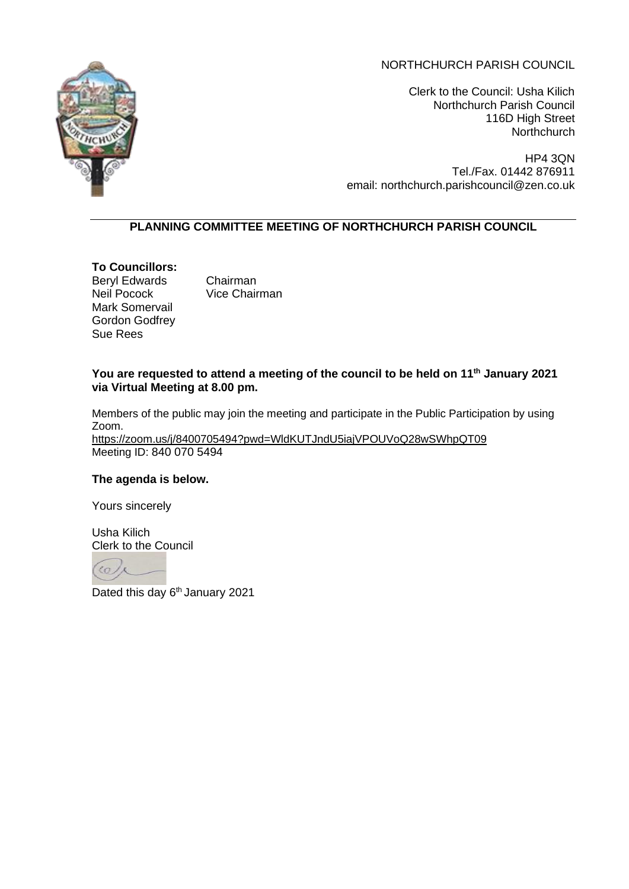# NORTHCHURCH PARISH COUNCIL



Clerk to the Council: Usha Kilich Northchurch Parish Council 116D High Street **Northchurch** 

HP4 3QN Tel./Fax. 01442 876911 email: northchurch.parishcouncil@zen.co.uk

# **PLANNING COMMITTEE MEETING OF NORTHCHURCH PARISH COUNCIL**

# **To Councillors:**

Beryl Edwards Chairman Neil Pocock Vice Chairman Mark Somervail Gordon Godfrey Sue Rees

# **You are requested to attend a meeting of the council to be held on 11th January 2021 via Virtual Meeting at 8.00 pm.**

Members of the public may join the meeting and participate in the Public Participation by using Zoom. <https://zoom.us/j/8400705494?pwd=WldKUTJndU5iajVPOUVoQ28wSWhpQT09> Meeting ID: 840 070 5494

### **The agenda is below.**

Yours sincerely

Usha Kilich Clerk to the Council

Dated this day 6<sup>th</sup> January 2021